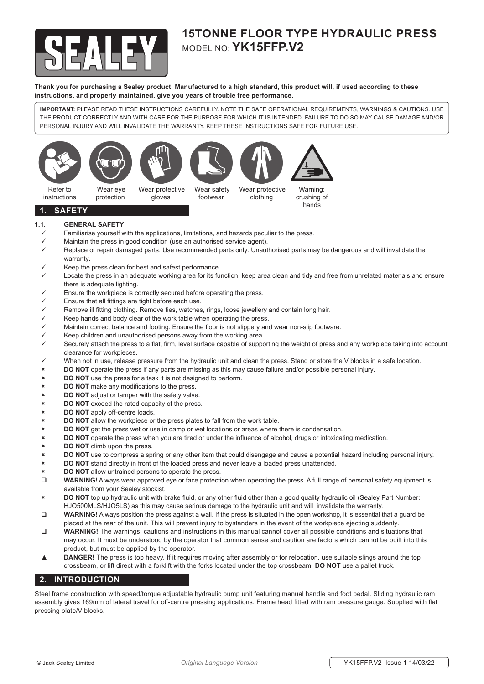

# **15TONNE FLOOR TYPE HYDRAULIC PRESS** MODEL NO: **YK15FFP.V2**

**Thank you for purchasing a Sealey product. Manufactured to a high standard, this product will, if used according to these instructions, and properly maintained, give you years of trouble free performance.**

**IMPORTANT:** PLEASE READ THESE INSTRUCTIONS CAREFULLY. NOTE THE SAFE OPERATIONAL REQUIREMENTS, WARNINGS & CAUTIONS. USE THE PRODUCT CORRECTLY AND WITH CARE FOR THE PURPOSE FOR WHICH IT IS INTENDED. FAILURE TO DO SO MAY CAUSE DAMAGE AND/OR PERSONAL INJURY AND WILL INVALIDATE THE WARRANTY. KEEP THESE INSTRUCTIONS SAFE FOR FUTURE USE.









clothing

Wear safety footwear Wear protective

Warning: crushing of hands

**1. SAFETY**

instructions

### **1.1. GENERAL SAFETY**

- Familiarise yourself with the applications, limitations, and hazards peculiar to the press.
- $\checkmark$  Maintain the press in good condition (use an authorised service agent).
- Replace or repair damaged parts. Use recommended parts only*.* Unauthorised parts may be dangerous and will invalidate the warranty.
- Keep the press clean for best and safest performance.
- Locate the press in an adequate working area for its function, keep area clean and tidy and free from unrelated materials and ensure there is adequate lighting.
- Ensure the workpiece is correctly secured before operating the press.
- Ensure that all fittings are tight before each use.
- Remove ill fitting clothing. Remove ties, watches, rings, loose jewellery and contain long hair.
- Keep hands and body clear of the work table when operating the press.
- Maintain correct balance and footing. Ensure the floor is not slippery and wear non-slip footware.
- Keep children and unauthorised persons away from the working area.
- Securely attach the press to a flat, firm, level surface capable of supporting the weight of press and any workpiece taking into account clearance for workpieces.
- $\checkmark$  When not in use, release pressure from the hydraulic unit and clean the press. Stand or store the V blocks in a safe location.
- **DO NOT** operate the press if any parts are missing as this may cause failure and/or possible personal injury.
- **DO NOT** use the press for a task it is not designed to perform.
- **DO NOT** make any modifications to the press.
- **DO NOT** adjust or tamper with the safety valve.
- **DO NOT** exceed the rated capacity of the press.
- **DO NOT** apply off-centre loads.
- **DO NOT** allow the workpiece or the press plates to fall from the work table.
- **EXECT DO NOT** get the press wet or use in damp or wet locations or areas where there is condensation.
- **DO NOT** operate the press when you are tired or under the influence of alcohol, drugs or intoxicating medication.
- **DO NOT** climb upon the press.
- **DO NOT** use to compress a spring or any other item that could disengage and cause a potential hazard including personal injury.
- **DO NOT** stand directly in front of the loaded press and never leave a loaded press unattended.
- **DO NOT** allow untrained persons to operate the press.
- **WARNING!** Always wear approved eye or face protection when operating the press. A full range of personal safety equipment is available from your Sealey stockist.
- **DO NOT** top up hydraulic unit with brake fluid, or any other fluid other than a good quality hydraulic oil (Sealey Part Number: HJO500MLS/HJO5LS) as this may cause serious damage to the hydraulic unit and will invalidate the warranty.
- **WARNING!** Always position the press against a wall. If the press is situated in the open workshop, it is essential that a guard be placed at the rear of the unit. This will prevent injury to bystanders in the event of the workpiece ejecting suddenly.
- **WARNING!** The warnings, cautions and instructions in this manual cannot cover all possible conditions and situations that may occur. It must be understood by the operator that common sense and caution are factors which cannot be built into this product, but must be applied by the operator.
- ▲ **DANGER!** The press is top heavy. If it requires moving after assembly or for relocation, use suitable slings around the top crossbeam, or lift direct with a forklift with the forks located under the top crossbeam. **DO NOT** use a pallet truck.

### **2. INTRODUCTION**

Steel frame construction with speed/torque adjustable hydraulic pump unit featuring manual handle and foot pedal. Sliding hydraulic ram assembly gives 169mm of lateral travel for off-centre pressing applications. Frame head fitted with ram pressure gauge. Supplied with flat pressing plate/V-blocks.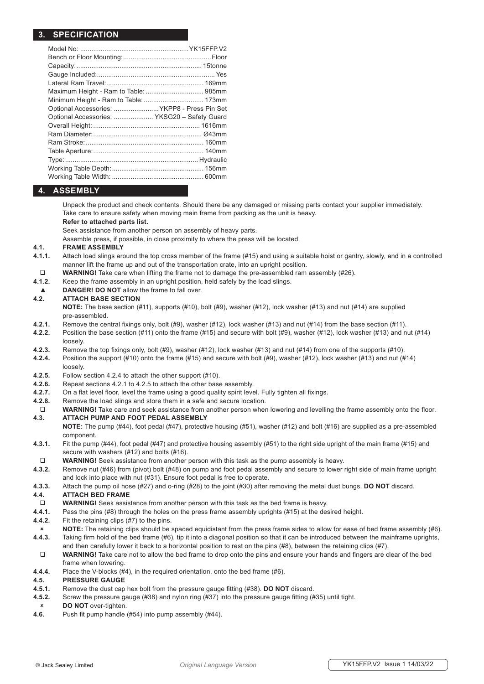# **3. SPECIFICATION**

| Maximum Height - Ram to Table:  985mm        |  |
|----------------------------------------------|--|
|                                              |  |
| Optional Accessories:  YKPP8 - Press Pin Set |  |
| Optional Accessories:  YKSG20 - Safety Guard |  |
|                                              |  |
|                                              |  |
|                                              |  |
|                                              |  |
|                                              |  |
|                                              |  |
|                                              |  |
|                                              |  |

# **4. ASSEMBLY**

 Unpack the product and check contents. Should there be any damaged or missing parts contact your supplier immediately. Take care to ensure safety when moving main frame from packing as the unit is heavy.

### **Refer to attached parts list.**

Seek assistance from another person on assembly of heavy parts.

Assemble press, if possible, in close proximity to where the press will be located.

#### **4.1. FRAME ASSEMBLY**

- **4.1.1.** Attach load slings around the top cross member of the frame (#15) and using a suitable hoist or gantry, slowly, and in a controlled manner lift the frame up and out of the transportation crate, into an upright position.
- **WARNING!** Take care when lifting the frame not to damage the pre-assembled ram assembly (#26).<br>**4.1.2.** Keep the frame assembly in an upright position, held safely by the load slings.
- Keep the frame assembly in an upright position, held safely by the load slings.
- **DANGER! DO NOT** allow the frame to fall over.

### **4.2. ATTACH BASE SECTION**

 **NOTE:** The base section (#11), supports (#10), bolt (#9), washer (#12), lock washer (#13) and nut (#14) are supplied pre-assembled.

- **4.2.1.** Remove the central fixings only, bolt (#9), washer (#12), lock washer (#13) and nut (#14) from the base section (#11).
- **4.2.2.** Position the base section (#11) onto the frame (#15) and secure with bolt (#9), washer (#12), lock washer (#13) and nut (#14) loosely.
- **4.2.3.** Remove the top fixings only, bolt (#9), washer (#12), lock washer (#13) and nut (#14) from one of the supports (#10).
- **4.2.4.** Position the support (#10) onto the frame (#15) and secure with bolt (#9), washer (#12), lock washer (#13) and nut (#14) loosely.
- **4.2.5.** Follow section 4.2.4 to attach the other support (#10).
- **4.2.6.** Repeat sections 4.2.1 to 4.2.5 to attach the other base assembly.
- **4.2.7.** On a flat level floor, level the frame using a good quality spirit level. Fully tighten all fixings.
- **4.2.8.** Remove the load slings and store them in a safe and secure location.
- WARNING! Take care and seek assistance from another person when lowering and levelling the frame assembly onto the floor. **4.3. ATTACH PUMP AND FOOT PEDAL ASSEMBLY**

 **NOTE:** The pump (#44), foot pedal (#47), protective housing (#51), washer (#12) and bolt (#16) are supplied as a pre-assembled component.

- **4.3.1.** Fit the pump (#44), foot pedal (#47) and protective housing assembly (#51) to the right side upright of the main frame (#15) and secure with washers (#12) and bolts (#16).
- **WARNING!** Seek assistance from another person with this task as the pump assembly is heavy.
- **4.3.2.** Remove nut (#46) from (pivot) bolt (#48) on pump and foot pedal assembly and secure to lower right side of main frame upright and lock into place with nut (#31). Ensure foot pedal is free to operate.
- **4.3.3.** Attach the pump oil hose (#27) and o-ring (#28) to the joint (#30) after removing the metal dust bungs. **DO NOT** discard.

### **4.4. ATTACH BED FRAME**

- **D** WARNING! Seek assistance from another person with this task as the bed frame is heavy.
- **4.4.1.** Pass the pins (#8) through the holes on the press frame assembly uprights (#15) at the desired height.
- **4.4.2.** Fit the retaining clips (#7) to the pins.
- **NOTE:** The retaining clips should be spaced equidistant from the press frame sides to allow for ease of bed frame assembly (#6). 4.4.3. Taking firm hold of the bed frame (#6), tip it into a diagonal position so that it can be introduced between the mainframe uprights,
- and then carefully lower it back to a horizontal position to rest on the pins (#8), between the retaining clips (#7). WARNING! Take care not to allow the bed frame to drop onto the pins and ensure your hands and fingers are clear of the bed
- frame when lowering.
- **4.4.4.** Place the V-blocks (#4), in the required orientation, onto the bed frame (#6).

# **4.5. PRESSURE GAUGE**

- **4.5.1.** Remove the dust cap hex bolt from the pressure gauge fitting (#38). **DO NOT** discard.
- **4.5.2.** Screw the pressure gauge (#38) and nylon ring (#37) into the pressure gauge fitting (#35) until tight. **DO NOT** over-tighten.
- **4.6.** Push fit pump handle (#54) into pump assembly (#44).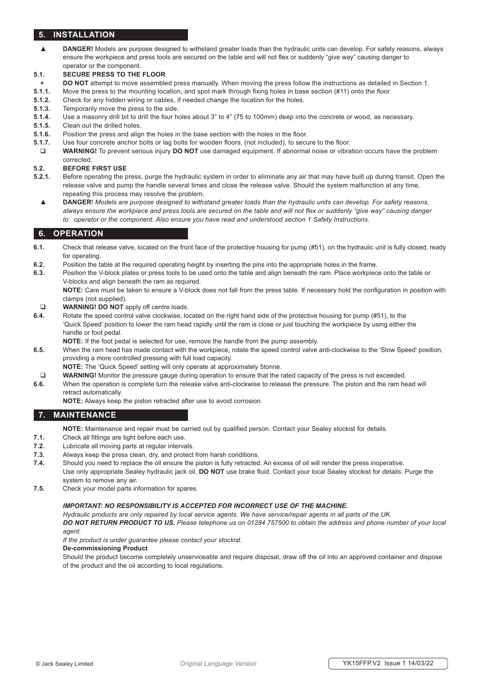# **5. INSTALLATION**

▲ **DANGER!** Models are purpose designed to withstand greater loads than the hydraulic units can develop. For safety reasons, always ensure the workpiece and press tools are secured on the table and will not flex or suddenly "give way" causing danger to operator or the component.

### **5.1. SECURE PRESS TO THE FLOOR**

- **DO NOT** attempt to move assembled press manually. When moving the press follow the instructions as detailed in Section 1.
- **5.1.1.** Move the press to the mounting location, and spot mark through fixing holes in base section (#11) onto the floor.
- **5.1.2.** Check for any hidden wiring or cables, if needed change the location for the holes.
- **5.1.3.** Temporarily move the press to the side.
- **5.1.4.** Use a masonry drill bit to drill the four holes about 3" to 4" (75 to 100mm) deep into the concrete or wood, as necessary.
- **5.1.5.** Clean out the drilled holes.
- **5.1.6.** Position the press and align the holes in the base section with the holes in the floor.
- **5.1.7.** Use four concrete anchor bolts or lag bolts for wooden floors, (not included), to secure to the floor.
- **WARNING!** To prevent serious injury **DO NOT** use damaged equipment. If abnormal noise or vibration occurs have the problem corrected.

### **5.2. BEFORE FIRST USE**

- **5.2.1.** Before operating the press, purge the hydraulic system in order to eliminate any air that may have built up during transit. Open the release valve and pump the handle several times and close the release valve. Should the system malfunction at any time, repeating this process may resolve the problem.
	- ▲ **DANGER**! *Models are purpose designed to withstand greater loads than the hydraulic units can develop. For safety reasons,*  always ensure the workpiece and press tools are secured on the table and will not flex or suddenly "give way" causing danger  *to operator or the component. Also ensure you have read and understood section 1 Safety Instructions.*

## **6. OPERATION**

- **6.1.** Check that release valve, located on the front face of the protective housing for pump (#51), on the hydraulic unit is fully closed, ready for operating.
- **6.2.** Position the table at the required operating height by inserting the pins into the appropriate holes in the frame.
- **6.3.** Position the V-block plates or press tools to be used onto the table and align beneath the ram. Place workpiece onto the table or V-blocks and align beneath the ram as required.

 **NOTE:** Care must be taken to ensure a V-block does not fall from the press table. If necessary hold the configuration in position with clamps (not supplied).

- **WARNING! DO NOT** apply off centre loads.
- **6.4.** Rotate the speed control valve clockwise, located on the right hand side of the protective housing for pump (#51), to the 'Quick Speed' position to lower the ram head rapidly until the ram is close or just touching the workpiece by using either the handle or foot pedal.
- **NOTE:** If the foot pedal is selected for use, remove the handle from the pump assembly.
- **6.5.** When the ram head has made contact with the workpiece, rotate the speed control valve anti-clockwise to the 'Slow Speed' position, providing a more controlled pressing with full load capacity.
	- **NOTE:** The 'Quick Speed' setting will only operate at approximately 5tonne.
- WARNING! Monitor the pressure gauge during operation to ensure that the rated capacity of the press is not exceeded.
- **6.6.** When the operation is complete turn the release valve anti-clockwise to release the pressure. The piston and the ram head will retract automatically.

**NOTE:** Always keep the piston retracted after use to avoid corrosion.

### **7. MAINTENANCE**

 **NOTE:** Maintenance and repair must be carried out by qualified person. Contact your Sealey stockist for details.

- **7.1.** Check all fittings are tight before each use.
- **7.2.** Lubricate all moving parts at regular intervals.
- **7.3.** Always keep the press clean, dry, and protect from harsh conditions.
- **7.4.** Should you need to replace the oil ensure the piston is fully retracted. An excess of oil will render the press inoperative. Use only appropriate Sealey hydraulic jack oil. **DO NOT** use brake fluid. Contact your local Sealey stockist for details. Purge the system to remove any air.
- **7.5.** Check your model parts information for spares.

#### *IMPORTANT: NO RESPONSIBILITY IS ACCEPTED FOR INCORRECT USE OF THE MACHINE.*

 *Hydraulic products are only repaired by local service agents. We have service/repair agents in all parts of the UK. DO NOT RETURN PRODUCT TO US. Please telephone us on 01284 757500 to obtain the address and phone number of your local agent.*

### *If the product is under guarantee please contact your stockist.*

#### **De-commissioning Product**

Should the product become completely unserviceable and require disposal, draw off the oil into an approved container and dispose of the product and the oil according to local regulations.